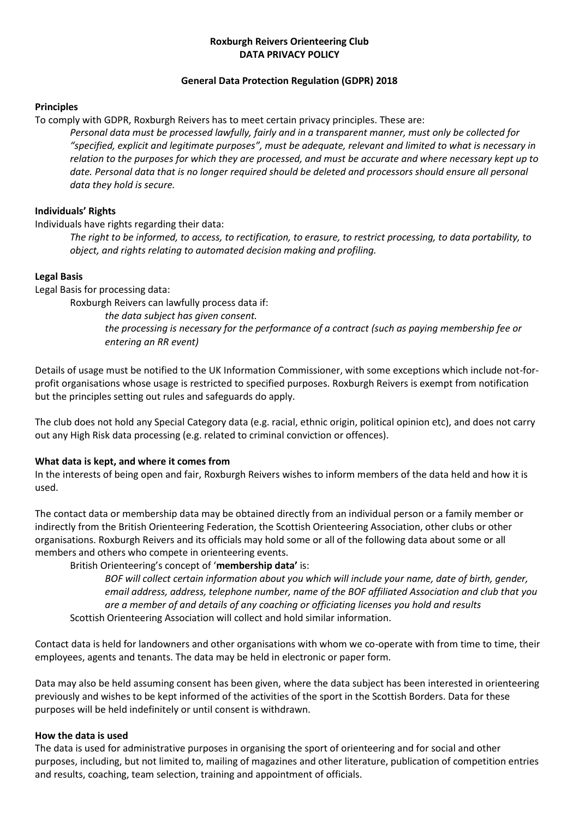## **Roxburgh Reivers Orienteering Club DATA PRIVACY POLICY**

## **General Data Protection Regulation (GDPR) 2018**

### **Principles**

To comply with GDPR, Roxburgh Reivers has to meet certain privacy principles. These are:

*Personal data must be processed lawfully, fairly and in a transparent manner, must only be collected for "specified, explicit and legitimate purposes", must be adequate, relevant and limited to what is necessary in relation to the purposes for which they are processed, and must be accurate and where necessary kept up to date. Personal data that is no longer required should be deleted and processors should ensure all personal data they hold is secure.* 

# **Individuals' Rights**

Individuals have rights regarding their data:

*The right to be informed, to access, to rectification, to erasure, to restrict processing, to data portability, to object, and rights relating to automated decision making and profiling.*

## **Legal Basis**

Legal Basis for processing data:

Roxburgh Reivers can lawfully process data if:

*the data subject has given consent.*

*the processing is necessary for the performance of a contract (such as paying membership fee or entering an RR event)*

Details of usage must be notified to the UK Information Commissioner, with some exceptions which include not-forprofit organisations whose usage is restricted to specified purposes. Roxburgh Reivers is exempt from notification but the principles setting out rules and safeguards do apply.

The club does not hold any Special Category data (e.g. racial, ethnic origin, political opinion etc), and does not carry out any High Risk data processing (e.g. related to criminal conviction or offences).

# **What data is kept, and where it comes from**

In the interests of being open and fair, Roxburgh Reivers wishes to inform members of the data held and how it is used.

The contact data or membership data may be obtained directly from an individual person or a family member or indirectly from the British Orienteering Federation, the Scottish Orienteering Association, other clubs or other organisations. Roxburgh Reivers and its officials may hold some or all of the following data about some or all members and others who compete in orienteering events.

British Orienteering's concept of '**membership data'** is:

*BOF will collect certain information about you which will include your name, date of birth, gender, email address, address, telephone number, name of the BOF affiliated Association and club that you are a member of and details of any coaching or officiating licenses you hold and results*  Scottish Orienteering Association will collect and hold similar information.

Contact data is held for landowners and other organisations with whom we co-operate with from time to time, their employees, agents and tenants. The data may be held in electronic or paper form.

Data may also be held assuming consent has been given, where the data subject has been interested in orienteering previously and wishes to be kept informed of the activities of the sport in the Scottish Borders. Data for these purposes will be held indefinitely or until consent is withdrawn.

# **How the data is used**

The data is used for administrative purposes in organising the sport of orienteering and for social and other purposes, including, but not limited to, mailing of magazines and other literature, publication of competition entries and results, coaching, team selection, training and appointment of officials.